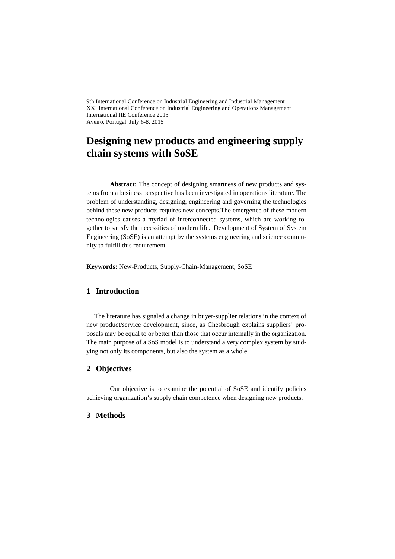9th International Conference on Industrial Engineering and Industrial Management XXI International Conference on Industrial Engineering and Operations Management International IIE Conference 2015 Aveiro, Portugal. July 6-8, 2015

# **Designing new products and engineering supply chain systems with SoSE**

Abstract: The concept of designing smartness of new products and systems from a business perspective has been investigated in operations literature. The problem of understanding, designing, engineering and governing the technologies behind these new products requires new concepts.The emergence of these modern technologies causes a myriad of interconnected systems, which are working together to satisfy the necessities of modern life. Development of System of System Engineering (SoSE) is an attempt by the systems engineering and science community to fulfill this requirement.

**Keywords:** New-Products, Supply-Chain-Management, SoSE

## **1 Introduction**

The literature has signaled a change in buyer-supplier relations in the context of new product/service development, since, as Chesbrough explains suppliers' proposals may be equal to or better than those that occur internally in the organization. The main purpose of a SoS model is to understand a very complex system by studying not only its components, but also the system as a whole.

## **2 Objectives**

Our objective is to examine the potential of SoSE and identify policies achieving organization's supply chain competence when designing new products.

### **3 Methods**